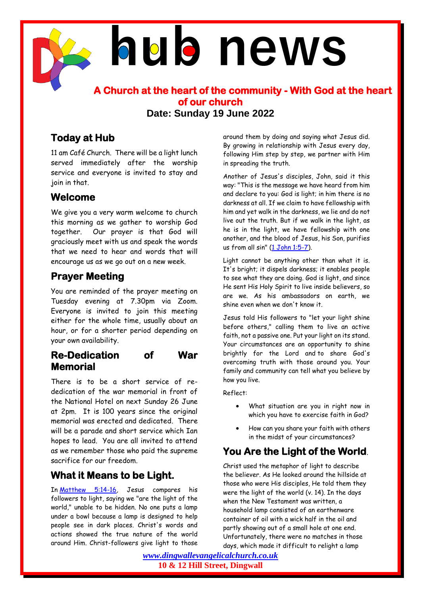# **hub news**

**A Church at the heart of the community - With God at the heart of our church Date: Sunday 19 June 2022**

## **Today at Hub**

11 am Café Church. There will be a light lunch served immediately after the worship service and everyone is invited to stay and join in that.

#### **Welcome**

We give you a very warm welcome to church this morning as we gather to worship God together. Our prayer is that God will graciously meet with us and speak the words that we need to hear and words that will encourage us as we go out on a new week.

#### **Prayer Meeting**

You are reminded of the prayer meeting on Tuesday evening at 7.30pm via Zoom. Everyone is invited to join this meeting either for the whole time, usually about an hour, or for a shorter period depending on your own availability.

#### **Re-Dedication of War Memorial**

There is to be a short service of rededication of the war memorial in front of the National Hotel on next Sunday 26 June at 2pm. It is 100 years since the original memorial was erected and dedicated. There will be a parade and short service which Ian hopes to lead. You are all invited to attend as we remember those who paid the supreme sacrifice for our freedom.

### **What it Means to be Light.**

In [Matthew 5:14-16,](http://biblegateway.com/bible?version=ESV&passage=Matthew+5:14-16) Jesus compares his followers to light, saying we "are the light of the world," unable to be hidden. No one puts a lamp under a bowl because a lamp is designed to help people see in dark places. Christ's words and actions showed the true nature of the world around Him. Christ-followers give light to those

around them by doing and saying what Jesus did. By growing in relationship with Jesus every day, following Him step by step, we partner with Him in spreading the truth.

Another of Jesus's disciples, John, said it this way: "This is the message we have heard from him and declare to you: God is light; in him there is no darkness at all. If we claim to have fellowship with him and yet walk in the darkness, we lie and do not live out the truth. But if we walk in the light, as he is in the light, we have fellowship with one another, and the blood of Jesus, his Son, purifies us from all sin" [\(1 John 1:5-7\)](http://biblegateway.com/bible?version=ESV&passage=1%20John+1:5-7).

Light cannot be anything other than what it is. It's bright; it dispels darkness; it enables people to see what they are doing. God is light, and since He sent His Holy Spirit to live inside believers, so are we. As his ambassadors on earth, we shine even when we don't know it.

Jesus told His followers to "let your light shine before others," calling them to live an active faith, not a passive one. Put your light on its stand. Your circumstances are an opportunity to shine brightly for the Lord and to share God's overcoming truth with those around you. Your family and community can tell what you believe by how you live.

Reflect:

- What situation are you in right now in which you have to exercise faith in God?
- How can you share your faith with others in the midst of your circumstances?

# **You Are the Light of the World**.

Christ used the metaphor of light to describe the believer. As He looked around the hillside at those who were His disciples, He told them they were the light of the world (v. 14). In the days when the New Testament was written, a household lamp consisted of an earthenware container of oil with a wick half in the oil and partly showing out of a small hole at one end. Unfortunately, there were no matches in those days, which made it difficult to relight a lamp

*[www.dingwallevangelicalchurch.co.uk](http://www.dingwallevangelicalchurch.co.uk/)* **10 & 12 Hill Street, Dingwall**